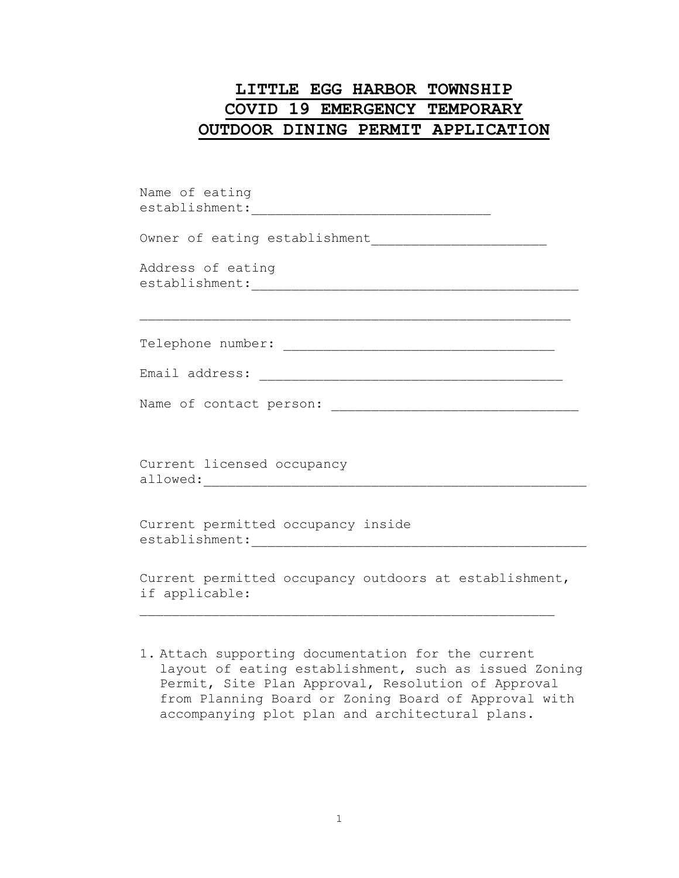## **LITTLE EGG HARBOR TOWNSHIP COVID 19 EMERGENCY TEMPORARY OUTDOOR DINING PERMIT APPLICATION**

| Name of eating                                                           |
|--------------------------------------------------------------------------|
|                                                                          |
| Address of eating                                                        |
|                                                                          |
|                                                                          |
|                                                                          |
| Current licensed occupancy                                               |
| Current permitted occupancy inside                                       |
| Current permitted occupancy outdoors at establishment,<br>if applicable: |

1. Attach supporting documentation for the current layout of eating establishment, such as issued Zoning Permit, Site Plan Approval, Resolution of Approval from Planning Board or Zoning Board of Approval with accompanying plot plan and architectural plans.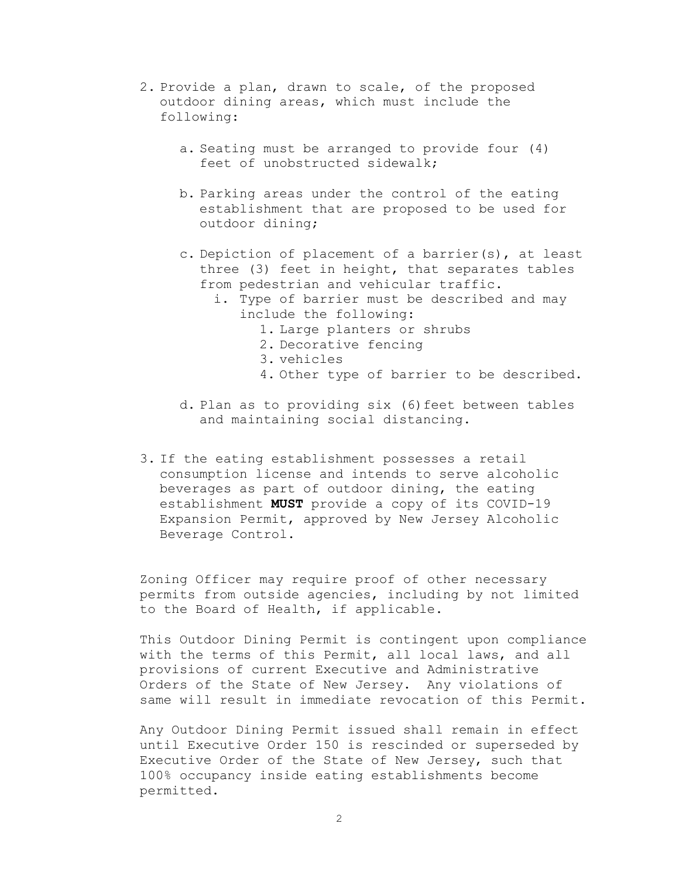- 2. Provide a plan, drawn to scale, of the proposed outdoor dining areas, which must include the following:
	- a. Seating must be arranged to provide four (4) feet of unobstructed sidewalk;
	- b. Parking areas under the control of the eating establishment that are proposed to be used for outdoor dining;
	- c. Depiction of placement of a barrier(s), at least three (3) feet in height, that separates tables from pedestrian and vehicular traffic.
		- i. Type of barrier must be described and may include the following:
			- 1. Large planters or shrubs
			- 2. Decorative fencing
			- 3. vehicles
			- 4. Other type of barrier to be described.
	- d. Plan as to providing six (6)feet between tables and maintaining social distancing.
- 3. If the eating establishment possesses a retail consumption license and intends to serve alcoholic beverages as part of outdoor dining, the eating establishment **MUST** provide a copy of its COVID-19 Expansion Permit, approved by New Jersey Alcoholic Beverage Control.

Zoning Officer may require proof of other necessary permits from outside agencies, including by not limited to the Board of Health, if applicable.

This Outdoor Dining Permit is contingent upon compliance with the terms of this Permit, all local laws, and all provisions of current Executive and Administrative Orders of the State of New Jersey. Any violations of same will result in immediate revocation of this Permit.

Any Outdoor Dining Permit issued shall remain in effect until Executive Order 150 is rescinded or superseded by Executive Order of the State of New Jersey, such that 100% occupancy inside eating establishments become permitted.